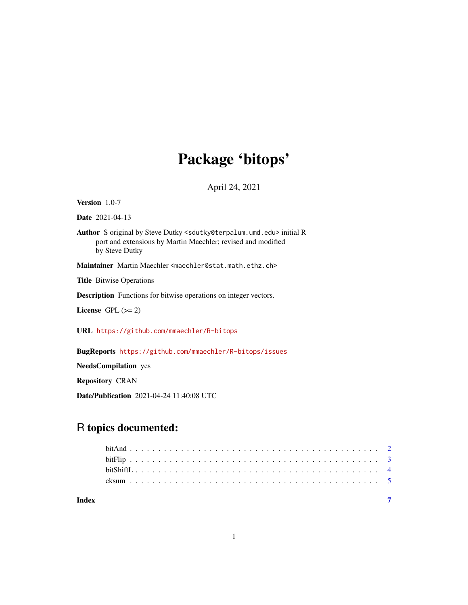## Package 'bitops'

April 24, 2021

<span id="page-0-0"></span>Version 1.0-7

Date 2021-04-13

Author S original by Steve Dutky <sdutky@terpalum.umd.edu> initial R port and extensions by Martin Maechler; revised and modified by Steve Dutky

Maintainer Martin Maechler <maechler@stat.math.ethz.ch>

Title Bitwise Operations

Description Functions for bitwise operations on integer vectors.

License GPL  $(>= 2)$ 

URL <https://github.com/mmaechler/R-bitops>

BugReports <https://github.com/mmaechler/R-bitops/issues>

NeedsCompilation yes

Repository CRAN

Date/Publication 2021-04-24 11:40:08 UTC

### R topics documented:

| Index |  |  |  |  |  |  |  |  |  |  |  |  |  |  |  |  |  |  |  |  |  |  |  |
|-------|--|--|--|--|--|--|--|--|--|--|--|--|--|--|--|--|--|--|--|--|--|--|--|
|       |  |  |  |  |  |  |  |  |  |  |  |  |  |  |  |  |  |  |  |  |  |  |  |
|       |  |  |  |  |  |  |  |  |  |  |  |  |  |  |  |  |  |  |  |  |  |  |  |
|       |  |  |  |  |  |  |  |  |  |  |  |  |  |  |  |  |  |  |  |  |  |  |  |
|       |  |  |  |  |  |  |  |  |  |  |  |  |  |  |  |  |  |  |  |  |  |  |  |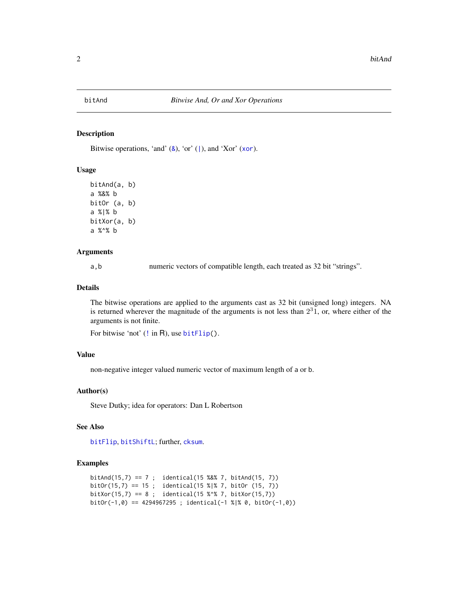<span id="page-1-2"></span><span id="page-1-0"></span>

#### <span id="page-1-1"></span>Description

Bitwise operations, 'and'  $(8)$ , 'or' (1), and 'Xor' ([xor](#page-0-0)).

#### Usage

bitAnd(a, b) a %&% b bitOr (a, b) a %|% b bitXor(a, b) a %^% b

#### Arguments

a,b numeric vectors of compatible length, each treated as 32 bit "strings".

#### Details

The bitwise operations are applied to the arguments cast as 32 bit (unsigned long) integers. NA is returned wherever the magnitude of the arguments is not less than  $2<sup>3</sup>1$ , or, where either of the arguments is not finite.

```
!bitFlip().
```
#### Value

non-negative integer valued numeric vector of maximum length of a or b.

#### Author(s)

Steve Dutky; idea for operators: Dan L Robertson

#### See Also

[bitFlip](#page-2-1), [bitShiftL](#page-3-1); further, [cksum](#page-4-1).

```
bitAnd(15,7) == 7 ; identical(15 %&% 7, bitAnd(15, 7))
bitOr(15,7) == 15 ; identical(15 %|% 7, bitOr (15, 7))
bitXor(15,7) == 8 ; identical(15 %\% 7, bitXor(15,7))
bitOr(-1,0) == 4294967295; identical(-1 %|% 0, bitOr(-1,0))
```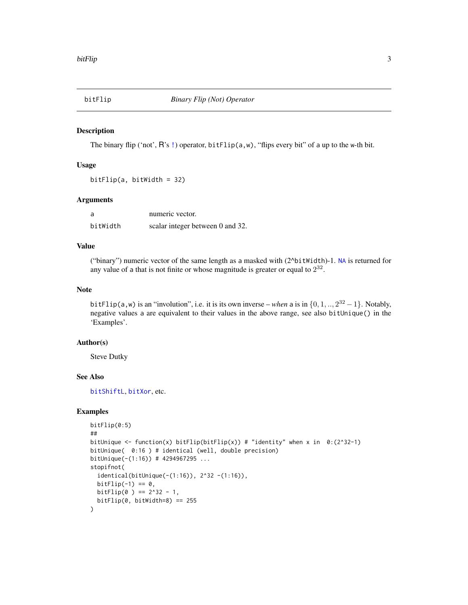<span id="page-2-1"></span><span id="page-2-0"></span>

#### Description

The binary flip ('not', R's [!](#page-0-0)) operator, bitFlip( $a, w$ ), "flips every bit" of a up to the w-th bit.

#### Usage

bitFlip(a, bitWidth = 32)

#### Arguments

| a        | numeric vector.                  |
|----------|----------------------------------|
| bitWidth | scalar integer between 0 and 32. |

#### Value

("binary") numeric vector of the same length as a masked with (2^bitWidth)-1. [NA](#page-0-0) is returned for any value of a that is not finite or whose magnitude is greater or equal to  $2^{32}$ .

#### Note

bitFlip(a, w) is an "involution", i.e. it is its own inverse – *when* a is in  $\{0, 1, ..., 2^{32} - 1\}$ . Notably, negative values a are equivalent to their values in the above range, see also bitUnique() in the 'Examples'.

#### Author(s)

Steve Dutky

#### See Also

[bitShiftL](#page-3-1), [bitXor](#page-1-1), etc.

```
bitFlip(0:5)
##
bitUnique <- function(x) bitFlip(bitFlip(x)) # "identity" when x in 0:(2^332-1)bitUnique( 0:16 ) # identical (well, double precision)
bitUnique(-(1:16)) # 4294967295 ...
stopifnot(
  identical(bitUnique(-(1:16)), 2^32 -(1:16)),
  bitFlip(-1) == 0,
  bitFlip(0) == 2^32 - 1,
  bitFlip(0, bitWidth=8) == 255
\mathcal{L}
```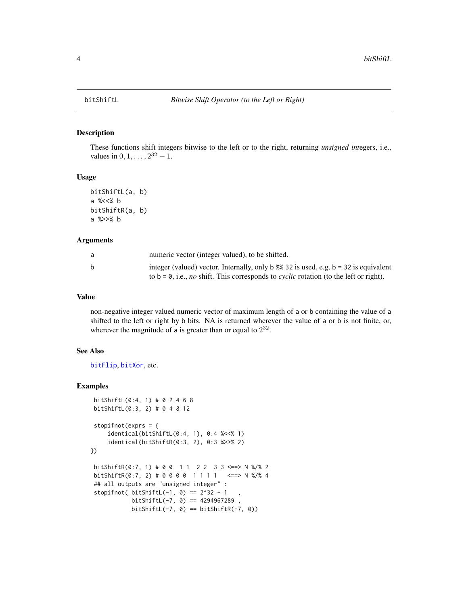#### Description

These functions shift integers bitwise to the left or to the right, returning *unsigned int*egers, i.e., values in  $0, 1, \ldots, 2^{32} - 1$ .

#### Usage

```
bitShiftL(a, b)
a %<<% b
bitShiftR(a, b)
a %>>% b
```
#### Arguments

| a | numeric vector (integer valued), to be shifted.                                                     |
|---|-----------------------------------------------------------------------------------------------------|
| b | integer (valued) vector. Internally, only b $\%$ 32 is used, e.g. b = 32 is equivalent              |
|   | to b = 0, i.e., <i>no</i> shift. This corresponds to <i>cyclic</i> rotation (to the left or right). |

#### Value

non-negative integer valued numeric vector of maximum length of a or b containing the value of a shifted to the left or right by b bits. NA is returned wherever the value of a or b is not finite, or, wherever the magnitude of a is greater than or equal to  $2^{32}$ .

#### See Also

[bitFlip](#page-2-1), [bitXor](#page-1-1), etc.

```
bitShiftL(0:4, 1) # 0 2 4 6 8
bitShiftL(0:3, 2) # 0 4 8 12
stopifnot(exprs = {
     identical(bitShiftL(0:4, 1), 0:4 %<<% 1)
     identical(bitShiftR(0:3, 2), 0:3 %>>% 2)
})
bitShiftR(0:7, 1) # 0 0 1 1 2 2 3 3 <==> N %/% 2
bitShiftR(0:7, 2) # 0 0 0 0 1 1 1 1 <==> N %/% 4
## all outputs are "unsigned integer" :
 stopifnot( bitShiftL(-1, \theta) == 2^32 - 1
           bitsShiftL(-7, 0) == 4294967289,
           bitShiftL(-7, 0) == bitShift(-7, 0)
```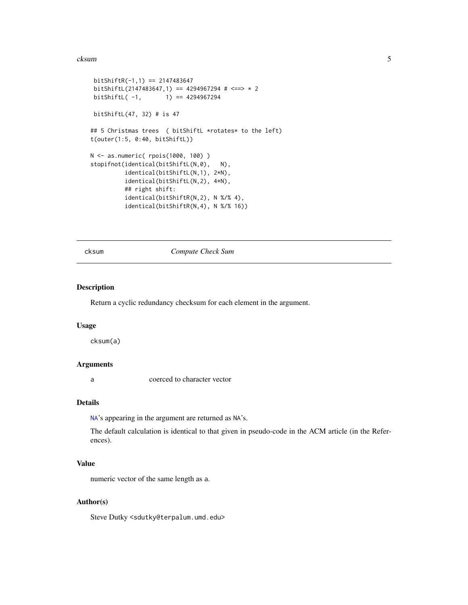#### <span id="page-4-0"></span>cksum 5

```
bitShift(-1,1) == 2147483647bitShiftL(2147483647,1) == 4294967294 # \leftarrow > * 2
bitShiftL(-1, 1) == 4294967294bitShiftL(47, 32) # is 47
## 5 Christmas trees ( bitShiftL *rotates* to the left)
t(outer(1:5, 0:40, bitShiftL))
N <- as.numeric( rpois(1000, 100) )
stopifnot(identical(bitShiftL(N,0), N),
         identical(bitShiftL(N,1), 2*N),
          identical(bitShiftL(N,2), 4*N),
         ## right shift:
         identical(bitShiftR(N,2), N %/% 4),
          identical(bitShiftR(N,4), N %/% 16))
```
<span id="page-4-1"></span>

#### cksum *Compute Check Sum*

#### Description

Return a cyclic redundancy checksum for each element in the argument.

#### Usage

cksum(a)

#### Arguments

a coerced to character vector

#### Details

[NA](#page-0-0)'s appearing in the argument are returned as NA's.

The default calculation is identical to that given in pseudo-code in the ACM article (in the References).

#### Value

numeric vector of the same length as a.

#### Author(s)

Steve Dutky <sdutky@terpalum.umd.edu>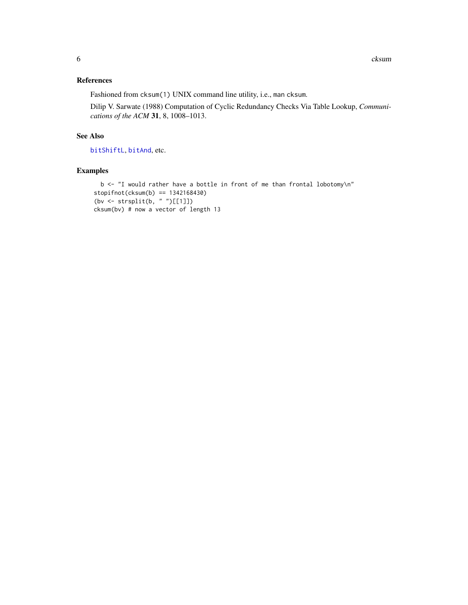#### <span id="page-5-0"></span>References

Fashioned from cksum(1) UNIX command line utility, i.e., man cksum.

Dilip V. Sarwate (1988) Computation of Cyclic Redundancy Checks Via Table Lookup, *Communications of the ACM* 31, 8, 1008–1013.

### See Also

[bitShiftL](#page-3-1), [bitAnd](#page-1-2), etc.

```
b <- "I would rather have a bottle in front of me than frontal lobotomy\n"
stopifnot(cksum(b) == 1342168430)
(bv \leftarrow \text{strsplit}(b, "")[[1]])
cksum(bv) # now a vector of length 13
```